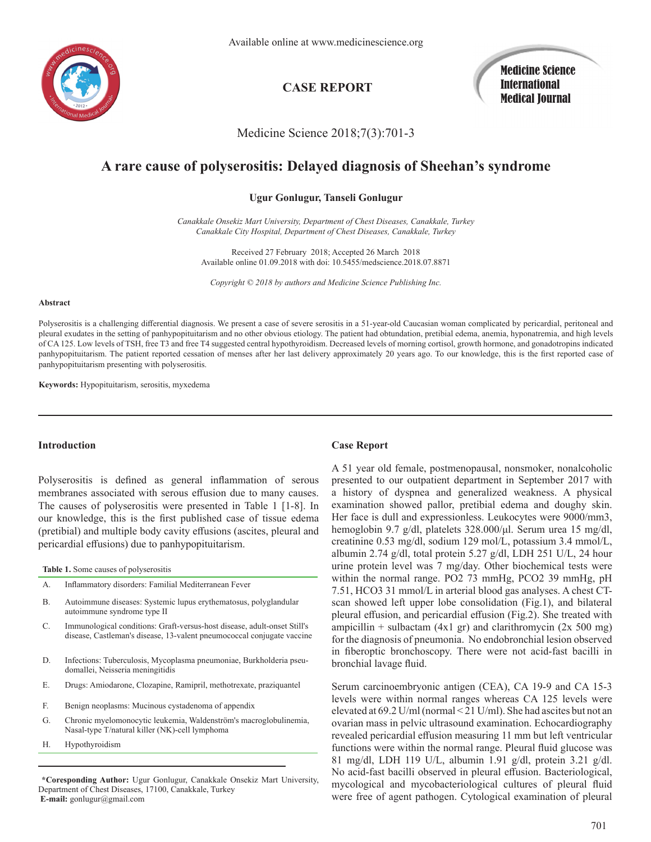

# **CASE REPORT**

Medicine Science International Medical Journal

Medicine Science 2018;7(3):701-3

# **A rare cause of polyserositis: Delayed diagnosis of Sheehan's syndrome**

## **Ugur Gonlugur, Tanseli Gonlugur**

*Canakkale Onsekiz Mart University, Department of Chest Diseases, Canakkale, Turkey Canakkale City Hospital, Department of Chest Diseases, Canakkale, Turkey*

Received 27 February 2018; Accepted 26 March 2018 Available online 01.09.2018 with doi: 10.5455/medscience.2018.07.8871

*Copyright © 2018 by authors and Medicine Science Publishing Inc.*

#### **Abstract**

Polyserositis is a challenging differential diagnosis. We present a case of severe serositis in a 51-year-old Caucasian woman complicated by pericardial, peritoneal and pleural exudates in the setting of panhypopituitarism and no other obvious etiology. The patient had obtundation, pretibial edema, anemia, hyponatremia, and high levels of CA 125. Low levels of TSH, free T3 and free T4 suggested central hypothyroidism. Decreased levels of morning cortisol, growth hormone, and gonadotropins indicated panhypopituitarism. The patient reported cessation of menses after her last delivery approximately 20 years ago. To our knowledge, this is the first reported case of panhypopituitarism presenting with polyserositis.

**Keywords:** Hypopituitarism, serositis, myxedema

#### **Introduction**

Polyserositis is defined as general inflammation of serous membranes associated with serous effusion due to many causes. The causes of polyserositis were presented in Table 1 [1-8]. In our knowledge, this is the first published case of tissue edema (pretibial) and multiple body cavity effusions (ascites, pleural and pericardial effusions) due to panhypopituitarism.

**Table 1.** Some causes of polyserositis

- A. Inflammatory disorders: Familial Mediterranean Fever
- B. Autoimmune diseases: Systemic lupus erythematosus, polyglandular autoimmune syndrome type II
- C. Immunological conditions: Graft-versus-host disease, adult-onset Still's disease, Castleman's disease, 13-valent pneumococcal conjugate vaccine
- D. Infections: Tuberculosis, Mycoplasma pneumoniae, Burkholderia pseudomallei, Neisseria meningitidis
- E. Drugs: Amiodarone, Clozapine, Ramipril, methotrexate, praziquantel
- F. Benign neoplasms: Mucinous cystadenoma of appendix
- G. Chronic myelomonocytic leukemia, Waldenström's macroglobulinemia, Nasal-type T/natural killer (NK)-cell lymphoma
- H. Hypothyroidism

**\*Coresponding Author:** Ugur Gonlugur, Canakkale Onsekiz Mart University, Department of Chest Diseases, 17100, Canakkale, Turkey **E-mail:** gonlugur@gmail.com

#### **Case Report**

A 51 year old female, postmenopausal, nonsmoker, nonalcoholic presented to our outpatient department in September 2017 with a history of dyspnea and generalized weakness. A physical examination showed pallor, pretibial edema and doughy skin. Her face is dull and expressionless. Leukocytes were 9000/mm3, hemoglobin 9.7 g/dl, platelets 328.000/μl. Serum urea 15 mg/dl, creatinine 0.53 mg/dl, sodium 129 mol/L, potassium 3.4 mmol/L, albumin 2.74 g/dl, total protein 5.27 g/dl, LDH 251 U/L, 24 hour urine protein level was 7 mg/day. Other biochemical tests were within the normal range. PO2 73 mmHg, PCO2 39 mmHg, pH 7.51, HCO3 31 mmol/L in arterial blood gas analyses. A chest CTscan showed left upper lobe consolidation (Fig.1), and bilateral pleural effusion, and pericardial effusion (Fig.2). She treated with ampicillin + sulbactam (4x1 gr) and clarithromycin (2x 500 mg) for the diagnosis of pneumonia. No endobronchial lesion observed in fiberoptic bronchoscopy. There were not acid-fast bacilli in bronchial lavage fluid.

Serum carcinoembryonic antigen (CEA), CA 19-9 and CA 15-3 levels were within normal ranges whereas CA 125 levels were elevated at 69.2 U/ml (normal < 21 U/ml). She had ascites but not an ovarian mass in pelvic ultrasound examination. Echocardiography revealed pericardial effusion measuring 11 mm but left ventricular functions were within the normal range. Pleural fluid glucose was 81 mg/dl, LDH 119 U/L, albumin 1.91 g/dl, protein 3.21 g/dl. No acid-fast bacilli observed in pleural effusion. Bacteriological, mycological and mycobacteriological cultures of pleural fluid were free of agent pathogen. Cytological examination of pleural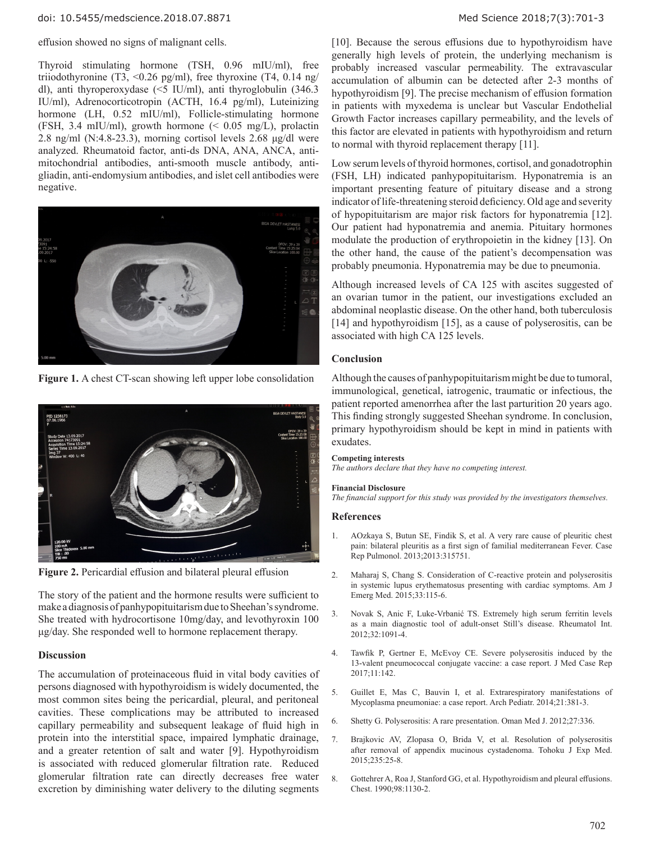#### effusion showed no signs of malignant cells.

Thyroid stimulating hormone (TSH, 0.96 mIU/ml), free triiodothyronine (T3, <0.26 pg/ml), free thyroxine (T4, 0.14 ng/ dl), anti thyroperoxydase (<5 IU/ml), anti thyroglobulin (346.3 IU/ml), Adrenocorticotropin (ACTH, 16.4 pg/ml), Luteinizing hormone (LH, 0.52 mIU/ml), Follicle-stimulating hormone (FSH, 3.4 mIU/ml), growth hormone  $(< 0.05$  mg/L), prolactin 2.8 ng/ml (N:4.8-23.3), morning cortisol levels 2.68 μg/dl were analyzed. Rheumatoid factor, anti-ds DNA, ANA, ANCA, antimitochondrial antibodies, anti-smooth muscle antibody, antigliadin, anti-endomysium antibodies, and islet cell antibodies were negative.



**Figure 1.** A chest CT-scan showing left upper lobe consolidation



**Figure 2.** Pericardial effusion and bilateral pleural effusion

The story of the patient and the hormone results were sufficient to make a diagnosis of panhypopituitarism due to Sheehan's syndrome. She treated with hydrocortisone 10mg/day, and levothyroxin 100 μg/day. She responded well to hormone replacement therapy.

## **Discussion**

The accumulation of proteinaceous fluid in vital body cavities of persons diagnosed with hypothyroidism is widely documented, the most common sites being the pericardial, pleural, and peritoneal cavities. These complications may be attributed to increased capillary permeability and subsequent leakage of fluid high in protein into the interstitial space, impaired lymphatic drainage, and a greater retention of salt and water [9]. Hypothyroidism is associated with reduced glomerular filtration rate. Reduced glomerular filtration rate can directly decreases free water excretion by diminishing water delivery to the diluting segments

[10]. Because the serous effusions due to hypothyroidism have generally high levels of protein, the underlying mechanism is probably increased vascular permeability. The extravascular accumulation of albumin can be detected after 2-3 months of hypothyroidism [9]. The precise mechanism of effusion formation in patients with myxedema is unclear but Vascular Endothelial Growth Factor increases capillary permeability, and the levels of this factor are elevated in patients with hypothyroidism and return to normal with thyroid replacement therapy [11].

Low serum levels of thyroid hormones, cortisol, and gonadotrophin (FSH, LH) indicated panhypopituitarism. Hyponatremia is an important presenting feature of pituitary disease and a strong indicator of life-threatening steroid deficiency. Old age and severity of hypopituitarism are major risk factors for hyponatremia [12]. Our patient had hyponatremia and anemia. Pituitary hormones modulate the production of erythropoietin in the kidney [13]. On the other hand, the cause of the patient's decompensation was probably pneumonia. Hyponatremia may be due to pneumonia.

Although increased levels of CA 125 with ascites suggested of an ovarian tumor in the patient, our investigations excluded an abdominal neoplastic disease. On the other hand, both tuberculosis [14] and hypothyroidism [15], as a cause of polyserositis, can be associated with high CA 125 levels.

## **Conclusion**

Although the causes of panhypopituitarism might be due to tumoral, immunological, genetical, iatrogenic, traumatic or infectious, the patient reported amenorrhea after the last parturition 20 years ago. This finding strongly suggested Sheehan syndrome. In conclusion, primary hypothyroidism should be kept in mind in patients with exudates.

#### **Competing interests**

**Financial Disclosure** 

*The authors declare that they have no competing interest.*

# *The financial support for this study was provided by the investigators themselves.*

#### **References**

- 1. AOzkaya S, Butun SE, Findik S, et al. A very rare cause of pleuritic chest pain: bilateral pleuritis as a first sign of familial mediterranean Fever. Case Rep Pulmonol. 2013;2013:315751.
- 2. Maharaj S, Chang S. Consideration of C-reactive protein and polyserositis in systemic lupus erythematosus presenting with cardiac symptoms. Am J Emerg Med. 2015;33:115-6.
- 3. Novak S, Anic F, Luke-Vrbanić TS. Extremely high serum ferritin levels as a main diagnostic tool of adult-onset Still's disease. Rheumatol Int. 2012;32:1091-4.
- 4. Tawfik P, Gertner E, McEvoy CE. Severe polyserositis induced by the 13-valent pneumococcal conjugate vaccine: a case report. J Med Case Rep 2017;11:142.
- 5. Guillet E, Mas C, Bauvin I, et al. Extrarespiratory manifestations of Mycoplasma pneumoniae: a case report. Arch Pediatr. 2014;21:381-3.
- 6. Shetty G. Polyserositis: A rare presentation. Oman Med J. 2012;27:336.
- 7. Brajkovic AV, Zlopasa O, Brida V, et al. Resolution of polyserositis after removal of appendix mucinous cystadenoma. Tohoku J Exp Med. 2015;235:25-8.
- 8. Gottehrer A, Roa J, Stanford GG, et al. Hypothyroidism and pleural effusions. Chest. 1990;98:1130-2.